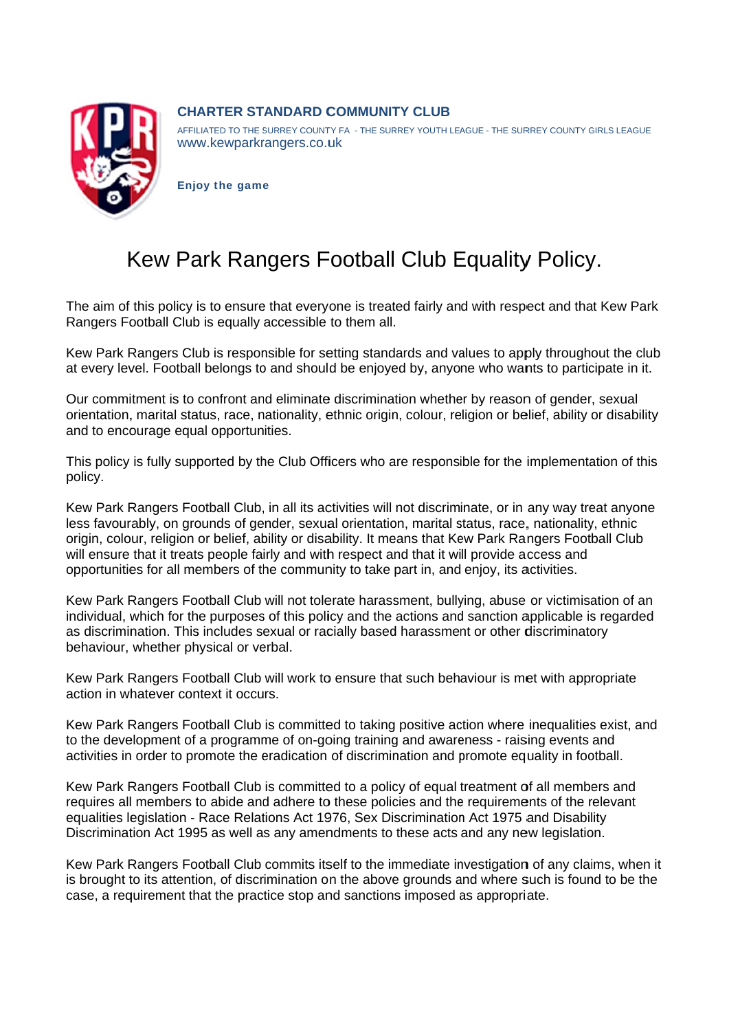

## **CHARTER STANDARD COMMUNITY CLUB**

AFFILIATED TO THE SURREY COUNTY FA - THE SURREY YOUTH LEAGUE - THE SURREY COUNTY GIRLS LEAGUE www.kewparkrangers.co.uk

**Enjoy the game** 

## Kew Park Rangers Football Club Equality Policy.

The aim of this policy is to ensure that everyone is treated fairly and with respect and that Kew Park Rangers Football Club is equally accessible to them all.

Kew Park Rangers Club is responsible for setting standards and values to apply throughout the club at every level. Football belongs to and should be enjoyed by, anyone who wants to participate in it.

Our commitment is to confront and eliminate discrimination whether by reason of gender, sexual orientation, marital status, race, nationality, ethnic origin, colour, religion or belief, ability or disability and to encourage equal opportunities.

This policy is fully supported by the Club Officers who are responsible for the implementation of this policy.

Kew Park Rangers Football Club, in all its activities will not discriminate, or in any way treat anyone less favourably, on grounds of gender, sexual orientation, marital status, race, nationality, ethnic origin, colour, religion or belief, ability or disability. It means that Kew Park Rangers Football Club will ensure that it treats people fairly and with respect and that it will provide access and opportunities for all members of the community to take part in, and enjoy, its activities.

Kew Park Rangers Football Club will not tolerate harassment, bullying, abuse or victimisation of an individual, which for the purposes of this policy and the actions and sanction applicable is regarded as discrimination. This includes sexual or racially based harassment or other discriminatory behaviour, whether physical or verbal.

Kew Park Rangers Football Club will work to ensure that such behaviour is met with appropriate action in whatever context it occurs.

Kew Park Rangers Football Club is committed to taking positive action where inequalities exist, and to the development of a programme of on-going training and awareness - raising events and activities in order to promote the eradication of discrimination and promote equality in football.

Kew Park Rangers Football Club is committed to a policy of equal treatment of all members and requires all members to abide and adhere to these policies and the requirements of the relevant equalities legislation - Race Relations Act 1976, Sex Discrimination Act 1975 and Disability Discrimination Act 1995 as well as any amendments to these acts and any new legislation.

Kew Park Rangers Football Club commits itself to the immediate investigation of any claims, when it is brought to its attention, of discrimination on the above grounds and where such is found to be the case, a requirement that the practice stop and sanctions imposed as appropriate.